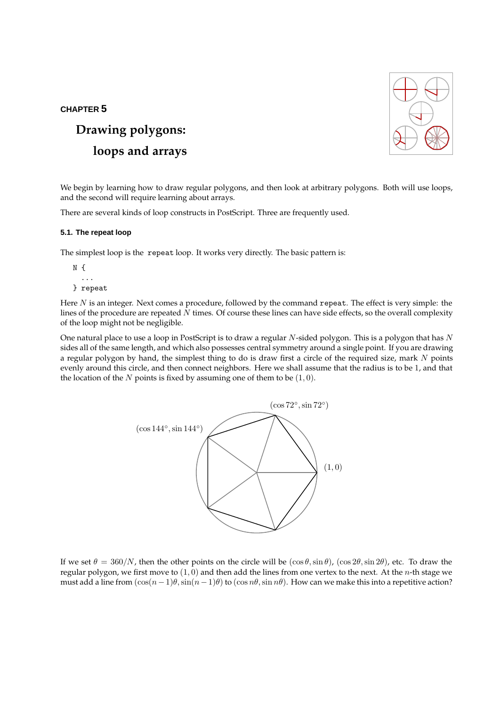## **CHAPTER 5**

# **Drawing polygons: loops and arrays**



We begin by learning how to draw regular polygons, and then look at arbitrary polygons. Both will use loops, and the second will require learning about arrays.

There are several kinds of loop constructs in PostScript. Three are frequently used.

## **5.1. The repeat loop**

The simplest loop is the repeat loop. It works very directly. The basic pattern is:

N {

- ...
- } repeat

Here  $N$  is an integer. Next comes a procedure, followed by the command repeat. The effect is very simple: the lines of the procedure are repeated  $N$  times. Of course these lines can have side effects, so the overall complexity of the loop might not be negligible.

One natural place to use a loop in PostScript is to draw a regular  $N$ -sided polygon. This is a polygon that has  $N$ sides all of the same length, and which also possesses central symmetry around a single point. If you are drawing a regular polygon by hand, the simplest thing to do is draw first a circle of the required size, mark N points evenly around this circle, and then connect neighbors. Here we shall assume that the radius is to be 1, and that the location of the N points is fixed by assuming one of them to be  $(1, 0)$ .



If we set  $\theta = 360/N$ , then the other points on the circle will be  $(\cos \theta, \sin \theta)$ ,  $(\cos 2\theta, \sin 2\theta)$ , etc. To draw the regular polygon, we first move to  $(1, 0)$  and then add the lines from one vertex to the next. At the *n*-th stage we must add a line from  $(\cos(n-1)\theta, \sin(n-1)\theta)$  to  $(\cos n\theta, \sin n\theta)$ . How can we make this into a repetitive action?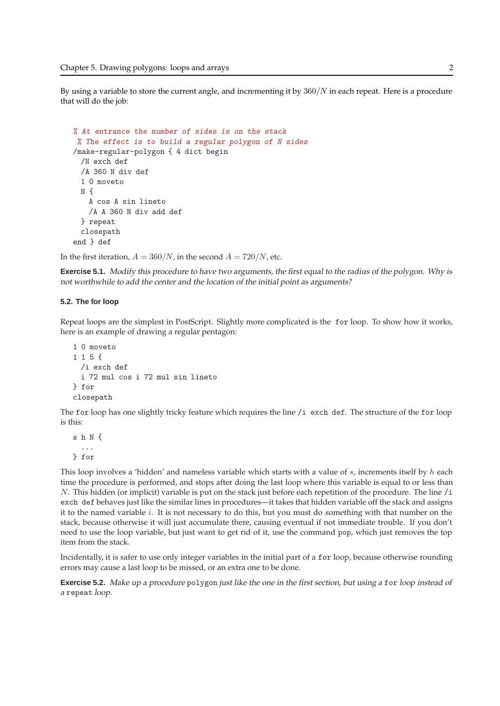By using a variable to store the current angle, and incrementing it by  $360/N$  in each repeat. Here is a procedure that will do the job:

```
% At entrance the number of sides is on the stack
% The effect is to build a regular polygon of N sides
/make-regular-polygon { 4 dict begin
 /N exch def
 /A 360 N div def
 1 0 moveto
 N fA cos A sin lineto
   /A A 360 N div add def
 } repeat
 closepath
end } def
```
In the first iteration,  $A = 360/N$ , in the second  $A = 720/N$ , etc.

**Exercise 5.1.** Modify this procedure to have two arguments, the first equal to the radius of the polygon. Why is not worthwhile to add the center and the location of the initial point as arguments?

## **5.2. The for loop**

Repeat loops are the simplest in PostScript. Slightly more complicated is the for loop. To show how it works, here is an example of drawing a regular pentagon:

```
1 0 moveto
1 1 5 {
 /i exch def
 i 72 mul cos i 72 mul sin lineto
} for
closepath
```
The for loop has one slightly tricky feature which requires the line /i exch def. The structure of the for loop is this:

s h N { ... } for

This loop involves a 'hidden' and nameless variable which starts with a value of  $s$ , increments itself by  $h$  each time the procedure is performed, and stops after doing the last loop where this variable is equal to or less than N. This hidden (or implicit) variable is put on the stack just before each repetition of the procedure. The line /i exch def behaves just like the similar lines in procedures—it takes that hidden variable off the stack and assigns it to the named variable i. It is not necessary to do this, but you must do something with that number on the stack, because otherwise it will just accumulate there, causing eventual if not immediate trouble. If you don't need to use the loop variable, but just want to get rid of it, use the command pop, which just removes the top item from the stack.

Incidentally, it is safer to use only integer variables in the initial part of a for loop, because otherwise rounding errors may cause a last loop to be missed, or an extra one to be done.

**Exercise 5.2.** Make up <sup>a</sup> procedure polygon just like the one in the first section, but using <sup>a</sup> for loop instead of <sup>a</sup> repeat loop.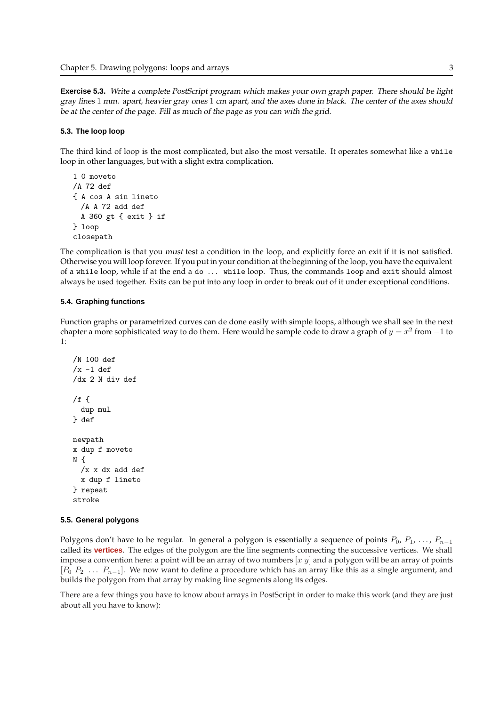**Exercise 5.3.** Write <sup>a</sup> complete PostScript program which makes your own graph paper. There should be light gray lines 1 mm. apart, heavier gray ones 1 cm apart, and the axes done in black. The center of the axes should be at the center of the page. Fill as much of the page as you can with the grid.

#### **5.3. The loop loop**

The third kind of loop is the most complicated, but also the most versatile. It operates somewhat like a while loop in other languages, but with a slight extra complication.

```
1 0 moveto
/A 72 def
{ A cos A sin lineto
 /A A 72 add def
 A 360 gt { exit } if
} loop
closepath
```
The complication is that you must test a condition in the loop, and explicitly force an exit if it is not satisfied. Otherwise you will loop forever. If you put in your condition at the beginning of the loop, you have the equivalent of a while loop, while if at the end a do . . . while loop. Thus, the commands loop and exit should almost always be used together. Exits can be put into any loop in order to break out of it under exceptional conditions.

## **5.4. Graphing functions**

Function graphs or parametrized curves can de done easily with simple loops, although we shall see in the next chapter a more sophisticated way to do them. Here would be sample code to draw a graph of  $y = x^2$  from  $-1$  to 1:

```
/N 100 def
/x - 1 def
/dx 2 N div def
/f {
  dup mul
} def
newpath
x dup f moveto
N f/x x dx add def
 x dup f lineto
} repeat
stroke
```
### **5.5. General polygons**

Polygons don't have to be regular. In general a polygon is essentially a sequence of points  $P_0, P_1, \ldots, P_{n-1}$ called its **vertices**. The edges of the polygon are the line segments connecting the successive vertices. We shall impose a convention here: a point will be an array of two numbers  $[x \, y]$  and a polygon will be an array of points  $[P_0 \ P_2 \ \ldots \ P_{n-1}]$ . We now want to define a procedure which has an array like this as a single argument, and builds the polygon from that array by making line segments along its edges.

There are a few things you have to know about arrays in PostScript in order to make this work (and they are just about all you have to know):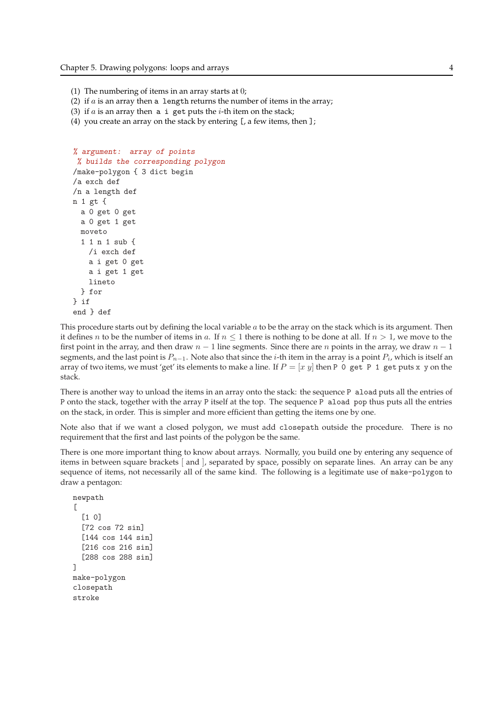- (1) The numbering of items in an array starts at 0;
- (2) if  $a$  is an array then a length returns the number of items in the array;
- (3) if  $a$  is an array then  $a$  i get puts the *i*-th item on the stack;
- (4) you create an array on the stack by entering [, a few items, then ];

```
% argument: array of points
% builds the corresponding polygon
/make-polygon { 3 dict begin
/a exch def
/n a length def
n 1 gt {
 a 0 get 0 get
 a 0 get 1 get
 moveto
 1 1 n 1 sub {
   /i exch def
   a i get 0 get
   a i get 1 get
   lineto
 } for
} if
end } def
```
This procedure starts out by defining the local variable  $a$  to be the array on the stack which is its argument. Then it defines n to be the number of items in a. If  $n \leq 1$  there is nothing to be done at all. If  $n > 1$ , we move to the first point in the array, and then draw  $n - 1$  line segments. Since there are n points in the array, we draw  $n - 1$ segments, and the last point is  $P_{n-1}$ . Note also that since the  $i$ -th item in the array is a point  $P_i$ , which is itself an array of two items, we must 'get' its elements to make a line. If  $P = [x \, y]$  then P 0 get P 1 get puts x y on the stack.

There is another way to unload the items in an array onto the stack: the sequence P aload puts all the entries of P onto the stack, together with the array P itself at the top. The sequence P aload pop thus puts all the entries on the stack, in order. This is simpler and more efficient than getting the items one by one.

Note also that if we want a closed polygon, we must add closepath outside the procedure. There is no requirement that the first and last points of the polygon be the same.

There is one more important thing to know about arrays. Normally, you build one by entering any sequence of items in between square brackets [ and ], separated by space, possibly on separate lines. An array can be any sequence of items, not necessarily all of the same kind. The following is a legitimate use of make-polygon to draw a pentagon:

```
newpath
\sqrt{ }[1 0]
  [72 cos 72 sin]
  [144 cos 144 sin]
  [216 cos 216 sin]
  [288 cos 288 sin]
]
make-polygon
closepath
stroke
```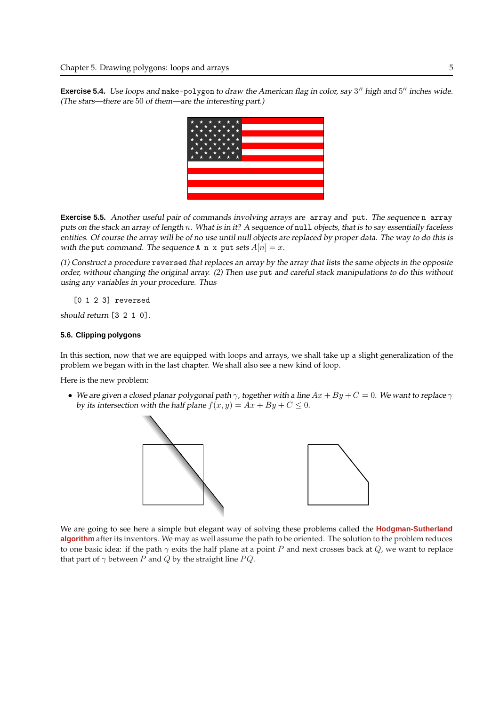**Exercise 5.4.** Use loops and make-polygon to draw the American flag in color, say 3" high and 5" inches wide. (The stars—there are 50 of them—are the interesting part.)



**Exercise 5.5.** Another useful pair of commands involving arrays are array and put. The sequence n array puts on the stack an array of length n. What is in it? A sequence of null objects, that is to say essentially faceless entities. Of course the array will be of no use until null objects are replaced by proper data. The way to do this is with the put command. The sequence A n x put sets  $A[n] = x$ .

(1) Construct <sup>a</sup> procedure reversed that replaces an array by the array that lists the same objects in the opposite order, without changing the original array. (2) Then use put and careful stack manipulations to do this without using any variables in your procedure. Thus

[0 1 2 3] reversed

should return [3 2 1 0].

## **5.6. Clipping polygons**

In this section, now that we are equipped with loops and arrays, we shall take up a slight generalization of the problem we began with in the last chapter. We shall also see a new kind of loop.

Here is the new problem:

• We are given a closed planar polygonal path  $\gamma$ , together with a line  $Ax + By + C = 0$ . We want to replace  $\gamma$ by its intersection with the half plane  $f(x, y) = Ax + By + C \le 0$ .



We are going to see here a simple but elegant way of solving these problems called the **Hodgman-Sutherland algorithm** after its inventors. We may as well assume the path to be oriented. The solution to the problem reduces to one basic idea: if the path  $\gamma$  exits the half plane at a point P and next crosses back at Q, we want to replace that part of  $\gamma$  between P and Q by the straight line PQ.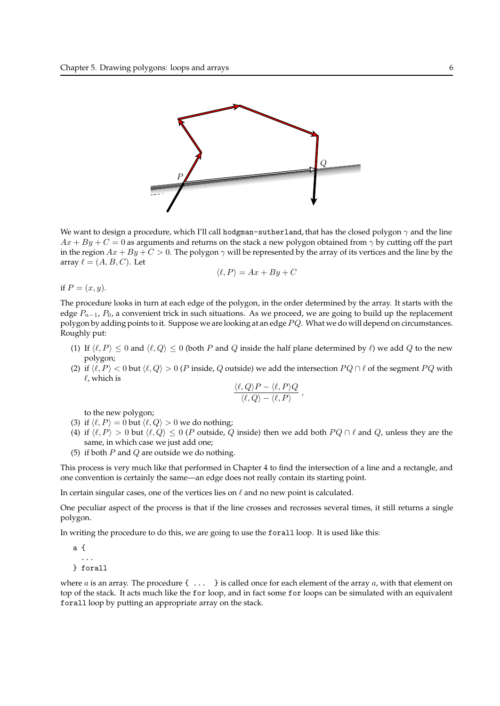

We want to design a procedure, which I'll call hodgman-sutherland, that has the closed polygon  $\gamma$  and the line  $Ax + By + C = 0$  as arguments and returns on the stack a new polygon obtained from  $\gamma$  by cutting off the part in the region  $Ax + By + C > 0$ . The polygon  $\gamma$  will be represented by the array of its vertices and the line by the array  $\ell = (A, B, C)$ . Let

$$
\langle \ell, P \rangle = Ax + By + C
$$

if  $P = (x, y)$ .

The procedure looks in turn at each edge of the polygon, in the order determined by the array. It starts with the edge  $P_{n-1}$ ,  $P_0$ , a convenient trick in such situations. As we proceed, we are going to build up the replacement polygon by adding points to it. Suppose we are looking at an edge  $PQ$ . What we do will depend on circumstances. Roughly put:

- (1) If  $\langle \ell, P \rangle \le 0$  and  $\langle \ell, Q \rangle \le 0$  (both P and Q inside the half plane determined by  $\ell$ ) we add Q to the new polygon;
- (2) if  $\langle \ell, P \rangle < 0$  but  $\langle \ell, Q \rangle > 0$  (P inside, Q outside) we add the intersection  $PQ \cap \ell$  of the segment  $PQ$  with  $\ell$ , which is

$$
\frac{\langle \ell, Q \rangle P - \langle \ell, P \rangle Q}{\langle \ell, Q \rangle - \langle \ell, P \rangle} ,
$$

to the new polygon;

- (3) if  $\langle \ell, P \rangle = 0$  but  $\langle \ell, Q \rangle > 0$  we do nothing;
- (4) if  $\langle \ell, P \rangle > 0$  but  $\langle \ell, Q \rangle \le 0$  (P outside, Q inside) then we add both  $PQ \cap \ell$  and Q, unless they are the same, in which case we just add one;
- (5) if both  $P$  and  $Q$  are outside we do nothing.

This process is very much like that performed in Chapter 4 to find the intersection of a line and a rectangle, and one convention is certainly the same—an edge does not really contain its starting point.

In certain singular cases, one of the vertices lies on  $\ell$  and no new point is calculated.

One peculiar aspect of the process is that if the line crosses and recrosses several times, it still returns a single polygon.

In writing the procedure to do this, we are going to use the forall loop. It is used like this:

a { ... } forall

where a is an array. The procedure  $\{\ldots\}$  is called once for each element of the array a, with that element on top of the stack. It acts much like the for loop, and in fact some for loops can be simulated with an equivalent forall loop by putting an appropriate array on the stack.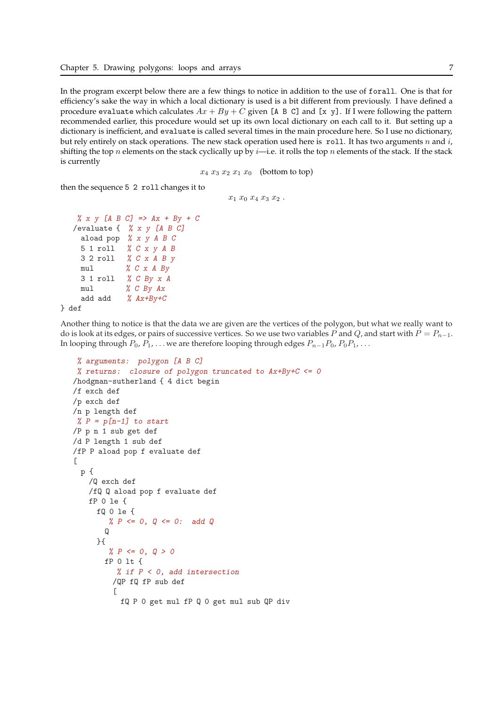In the program excerpt below there are a few things to notice in addition to the use of forall. One is that for efficiency's sake the way in which a local dictionary is used is a bit different from previously. I have defined a procedure evaluate which calculates  $Ax + By + C$  given [A B C] and [x y]. If I were following the pattern recommended earlier, this procedure would set up its own local dictionary on each call to it. But setting up a dictionary is inefficient, and evaluate is called several times in the main procedure here. So I use no dictionary, but rely entirely on stack operations. The new stack operation used here is roll. It has two arguments n and  $i$ , shifting the top n elements on the stack cyclically up by  $i$ —i.e. it rolls the top n elements of the stack. If the stack is currently

 $x_4$   $x_3$   $x_2$   $x_1$   $x_0$  (bottom to top)

then the sequence 5 2 roll changes it to

 $x_1 x_0 x_4 x_3 x_2$ .

```
% x y [A B C] => Ax + By + C
/evaluate \frac{1}{2} % x v \left[A B C]
 aload pop % x y A B C5 1 roll % C x y A B
 3 2 roll % C x A B y
 mul \% C x A By
 3 1 roll % C By x A
 mul % C By Ax
 add add % Ax+By+C
```

```
} def
```
Another thing to notice is that the data we are given are the vertices of the polygon, but what we really want to do is look at its edges, or pairs of successive vertices. So we use two variables P and Q, and start with  $P = P_{n-1}$ . In looping through  $P_0, P_1, \ldots$  we are therefore looping through edges  $P_{n-1}P_0, P_0P_1, \ldots$ 

```
% arguments: polygon [A B C]
 % returns: closure of polygon truncated to Ax+By+C <= 0
/hodgman-sutherland { 4 dict begin
/f exch def
/p exch def
/n p length def
% P = p[n-1] to start
/P p n 1 sub get def
/d P length 1 sub def
/fP P aload pop f evaluate def
[
 p {
   /Q exch def
   /fQ Q aload pop f evaluate def
   fP 0 le {
     fQ 0 le {
        % P \leq 0, Q \leq 0: add Q\Omega}{
        % P \le 0, Q > 0fP 0 lt {
          % if P < 0, add intersection
         /QP fQ fP sub def
         \sqrt{ }fQ P 0 get mul fP Q 0 get mul sub QP div
```